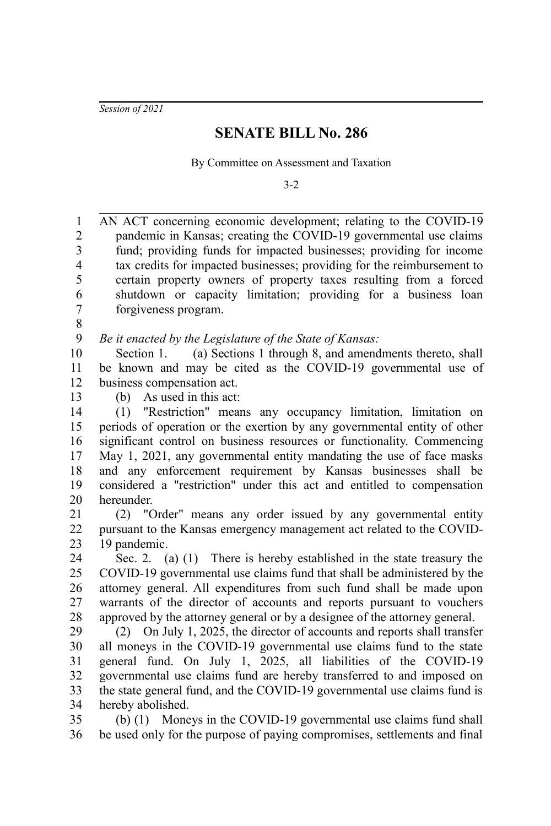*Session of 2021*

## **SENATE BILL No. 286**

By Committee on Assessment and Taxation

3-2

AN ACT concerning economic development; relating to the COVID-19 pandemic in Kansas; creating the COVID-19 governmental use claims fund; providing funds for impacted businesses; providing for income tax credits for impacted businesses; providing for the reimbursement to certain property owners of property taxes resulting from a forced shutdown or capacity limitation; providing for a business loan forgiveness program. 1 2 3 4 5 6 7

8

*Be it enacted by the Legislature of the State of Kansas:* 9

Section 1. (a) Sections 1 through 8, and amendments thereto, shall be known and may be cited as the COVID-19 governmental use of business compensation act. 10 11 12

13

(b) As used in this act:

(1) "Restriction" means any occupancy limitation, limitation on periods of operation or the exertion by any governmental entity of other significant control on business resources or functionality. Commencing May 1, 2021, any governmental entity mandating the use of face masks and any enforcement requirement by Kansas businesses shall be considered a "restriction" under this act and entitled to compensation hereunder. 14 15 16 17 18 19 20

(2) "Order" means any order issued by any governmental entity pursuant to the Kansas emergency management act related to the COVID-19 pandemic. 21 22 23

Sec. 2. (a) (1) There is hereby established in the state treasury the COVID-19 governmental use claims fund that shall be administered by the attorney general. All expenditures from such fund shall be made upon warrants of the director of accounts and reports pursuant to vouchers approved by the attorney general or by a designee of the attorney general. 24 25 26 27 28

(2) On July 1, 2025, the director of accounts and reports shall transfer all moneys in the COVID-19 governmental use claims fund to the state general fund. On July 1, 2025, all liabilities of the COVID-19 governmental use claims fund are hereby transferred to and imposed on the state general fund, and the COVID-19 governmental use claims fund is hereby abolished. 29 30 31 32 33 34

(b) (1) Moneys in the COVID-19 governmental use claims fund shall be used only for the purpose of paying compromises, settlements and final 35 36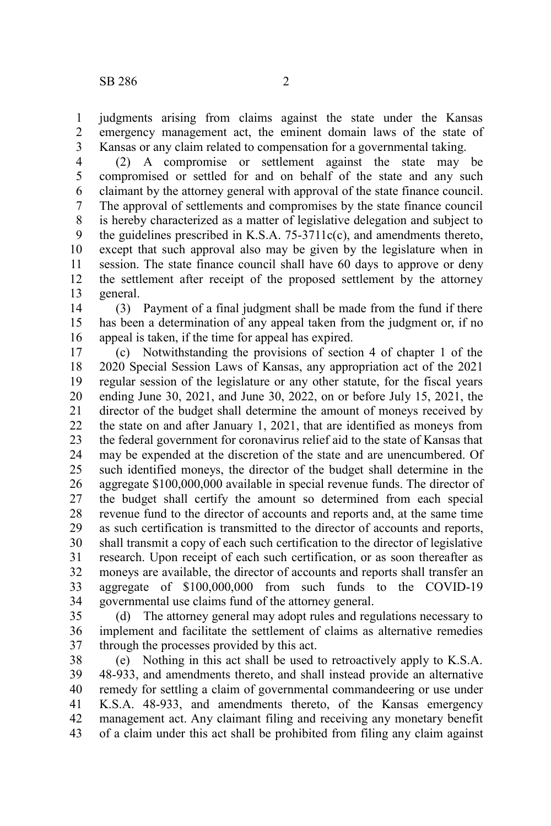judgments arising from claims against the state under the Kansas emergency management act, the eminent domain laws of the state of Kansas or any claim related to compensation for a governmental taking. 1 2 3

(2) A compromise or settlement against the state may be compromised or settled for and on behalf of the state and any such claimant by the attorney general with approval of the state finance council. The approval of settlements and compromises by the state finance council is hereby characterized as a matter of legislative delegation and subject to the guidelines prescribed in K.S.A. 75-3711c(c), and amendments thereto, except that such approval also may be given by the legislature when in session. The state finance council shall have 60 days to approve or deny the settlement after receipt of the proposed settlement by the attorney general. 4 5 6 7 8 9 10 11 12 13

(3) Payment of a final judgment shall be made from the fund if there has been a determination of any appeal taken from the judgment or, if no appeal is taken, if the time for appeal has expired. 14 15 16

(c) Notwithstanding the provisions of section 4 of chapter 1 of the 2020 Special Session Laws of Kansas, any appropriation act of the 2021 regular session of the legislature or any other statute, for the fiscal years ending June 30, 2021, and June 30, 2022, on or before July 15, 2021, the director of the budget shall determine the amount of moneys received by the state on and after January 1, 2021, that are identified as moneys from the federal government for coronavirus relief aid to the state of Kansas that may be expended at the discretion of the state and are unencumbered. Of such identified moneys, the director of the budget shall determine in the aggregate \$100,000,000 available in special revenue funds. The director of the budget shall certify the amount so determined from each special revenue fund to the director of accounts and reports and, at the same time as such certification is transmitted to the director of accounts and reports, shall transmit a copy of each such certification to the director of legislative research. Upon receipt of each such certification, or as soon thereafter as moneys are available, the director of accounts and reports shall transfer an aggregate of \$100,000,000 from such funds to the COVID-19 governmental use claims fund of the attorney general. 17 18 19 20 21 22 23 24 25 26 27 28 29 30 31 32 33 34

(d) The attorney general may adopt rules and regulations necessary to implement and facilitate the settlement of claims as alternative remedies through the processes provided by this act. 35 36 37

(e) Nothing in this act shall be used to retroactively apply to K.S.A. 48-933, and amendments thereto, and shall instead provide an alternative remedy for settling a claim of governmental commandeering or use under K.S.A. 48-933, and amendments thereto, of the Kansas emergency management act. Any claimant filing and receiving any monetary benefit of a claim under this act shall be prohibited from filing any claim against 38 39 40 41 42 43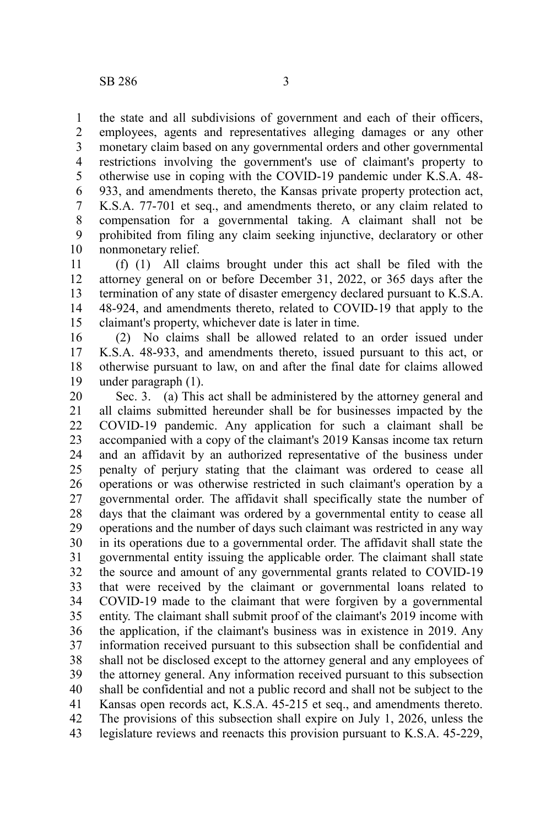the state and all subdivisions of government and each of their officers, employees, agents and representatives alleging damages or any other monetary claim based on any governmental orders and other governmental restrictions involving the government's use of claimant's property to otherwise use in coping with the COVID-19 pandemic under K.S.A. 48- 933, and amendments thereto, the Kansas private property protection act, K.S.A. 77-701 et seq., and amendments thereto, or any claim related to compensation for a governmental taking. A claimant shall not be prohibited from filing any claim seeking injunctive, declaratory or other nonmonetary relief. 1 2 3 4 5 6 7 8 9 10

(f) (1) All claims brought under this act shall be filed with the attorney general on or before December 31, 2022, or 365 days after the termination of any state of disaster emergency declared pursuant to K.S.A. 48-924, and amendments thereto, related to COVID-19 that apply to the claimant's property, whichever date is later in time. 11 12 13 14 15

(2) No claims shall be allowed related to an order issued under K.S.A. 48-933, and amendments thereto, issued pursuant to this act, or otherwise pursuant to law, on and after the final date for claims allowed under paragraph (1). 16 17 18 19

Sec. 3. (a) This act shall be administered by the attorney general and all claims submitted hereunder shall be for businesses impacted by the COVID-19 pandemic. Any application for such a claimant shall be accompanied with a copy of the claimant's 2019 Kansas income tax return and an affidavit by an authorized representative of the business under penalty of perjury stating that the claimant was ordered to cease all operations or was otherwise restricted in such claimant's operation by a governmental order. The affidavit shall specifically state the number of days that the claimant was ordered by a governmental entity to cease all operations and the number of days such claimant was restricted in any way in its operations due to a governmental order. The affidavit shall state the governmental entity issuing the applicable order. The claimant shall state the source and amount of any governmental grants related to COVID-19 that were received by the claimant or governmental loans related to COVID-19 made to the claimant that were forgiven by a governmental entity. The claimant shall submit proof of the claimant's 2019 income with the application, if the claimant's business was in existence in 2019. Any information received pursuant to this subsection shall be confidential and shall not be disclosed except to the attorney general and any employees of the attorney general. Any information received pursuant to this subsection shall be confidential and not a public record and shall not be subject to the Kansas open records act, K.S.A. 45-215 et seq., and amendments thereto. The provisions of this subsection shall expire on July 1, 2026, unless the legislature reviews and reenacts this provision pursuant to K.S.A. 45-229, 20 21 22 23 24 25 26 27 28 29 30 31 32 33 34 35 36 37 38 39 40 41 42 43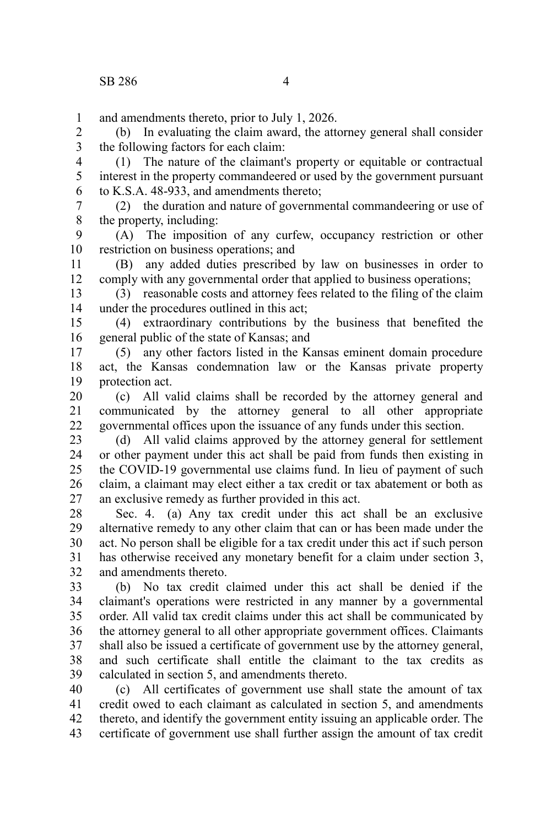and amendments thereto, prior to July 1, 2026. 1

(b) In evaluating the claim award, the attorney general shall consider the following factors for each claim: 2 3

(1) The nature of the claimant's property or equitable or contractual interest in the property commandeered or used by the government pursuant to K.S.A. 48-933, and amendments thereto; 4 5 6

(2) the duration and nature of governmental commandeering or use of the property, including: 7 8

(A) The imposition of any curfew, occupancy restriction or other restriction on business operations; and 9 10

(B) any added duties prescribed by law on businesses in order to comply with any governmental order that applied to business operations; 11 12

(3) reasonable costs and attorney fees related to the filing of the claim under the procedures outlined in this act; 13 14

(4) extraordinary contributions by the business that benefited the general public of the state of Kansas; and 15 16

(5) any other factors listed in the Kansas eminent domain procedure act, the Kansas condemnation law or the Kansas private property protection act. 17 18 19

(c) All valid claims shall be recorded by the attorney general and communicated by the attorney general to all other appropriate governmental offices upon the issuance of any funds under this section. 20 21 22

(d) All valid claims approved by the attorney general for settlement or other payment under this act shall be paid from funds then existing in the COVID-19 governmental use claims fund. In lieu of payment of such claim, a claimant may elect either a tax credit or tax abatement or both as an exclusive remedy as further provided in this act. 23 24 25 26 27

Sec. 4. (a) Any tax credit under this act shall be an exclusive alternative remedy to any other claim that can or has been made under the act. No person shall be eligible for a tax credit under this act if such person has otherwise received any monetary benefit for a claim under section 3, and amendments thereto. 28 29 30 31 32

(b) No tax credit claimed under this act shall be denied if the claimant's operations were restricted in any manner by a governmental order. All valid tax credit claims under this act shall be communicated by the attorney general to all other appropriate government offices. Claimants shall also be issued a certificate of government use by the attorney general, and such certificate shall entitle the claimant to the tax credits as calculated in section 5, and amendments thereto. 33 34 35 36 37 38 39

(c) All certificates of government use shall state the amount of tax credit owed to each claimant as calculated in section 5, and amendments thereto, and identify the government entity issuing an applicable order. The certificate of government use shall further assign the amount of tax credit 40 41 42 43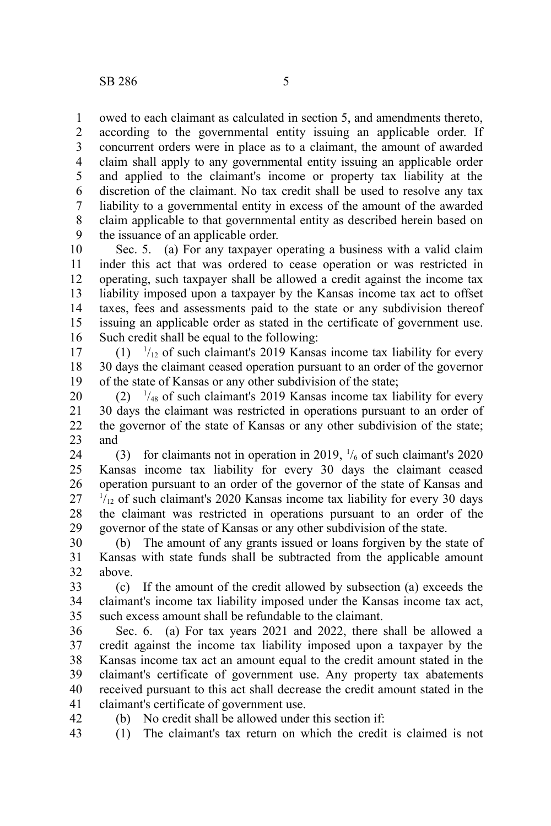owed to each claimant as calculated in section 5, and amendments thereto, according to the governmental entity issuing an applicable order. If concurrent orders were in place as to a claimant, the amount of awarded claim shall apply to any governmental entity issuing an applicable order and applied to the claimant's income or property tax liability at the discretion of the claimant. No tax credit shall be used to resolve any tax liability to a governmental entity in excess of the amount of the awarded claim applicable to that governmental entity as described herein based on the issuance of an applicable order. 1 2 3 4 5 6 7 8 9

Sec. 5. (a) For any taxpayer operating a business with a valid claim inder this act that was ordered to cease operation or was restricted in operating, such taxpayer shall be allowed a credit against the income tax liability imposed upon a taxpayer by the Kansas income tax act to offset taxes, fees and assessments paid to the state or any subdivision thereof issuing an applicable order as stated in the certificate of government use. Such credit shall be equal to the following: 10 11 12 13 14 15 16

 $(1)$   $\frac{1}{12}$  of such claimant's 2019 Kansas income tax liability for every 30 days the claimant ceased operation pursuant to an order of the governor of the state of Kansas or any other subdivision of the state; 17 18 19

 $(2)$  <sup>1</sup>/<sub>48</sub> of such claimant's 2019 Kansas income tax liability for every 30 days the claimant was restricted in operations pursuant to an order of the governor of the state of Kansas or any other subdivision of the state; and 20 21 22 23

(3) for claimants not in operation in 2019,  $\frac{1}{6}$  of such claimant's 2020 Kansas income tax liability for every 30 days the claimant ceased operation pursuant to an order of the governor of the state of Kansas and  $1/12}$  of such claimant's 2020 Kansas income tax liability for every 30 days the claimant was restricted in operations pursuant to an order of the governor of the state of Kansas or any other subdivision of the state. 24 25 26 27 28 29

(b) The amount of any grants issued or loans forgiven by the state of Kansas with state funds shall be subtracted from the applicable amount above. 30 31 32

(c) If the amount of the credit allowed by subsection (a) exceeds the claimant's income tax liability imposed under the Kansas income tax act, such excess amount shall be refundable to the claimant. 33 34 35

Sec. 6. (a) For tax years 2021 and 2022, there shall be allowed a credit against the income tax liability imposed upon a taxpayer by the Kansas income tax act an amount equal to the credit amount stated in the claimant's certificate of government use. Any property tax abatements received pursuant to this act shall decrease the credit amount stated in the claimant's certificate of government use. 36 37 38 39 40 41

(b) No credit shall be allowed under this section if:

42

(1) The claimant's tax return on which the credit is claimed is not 43